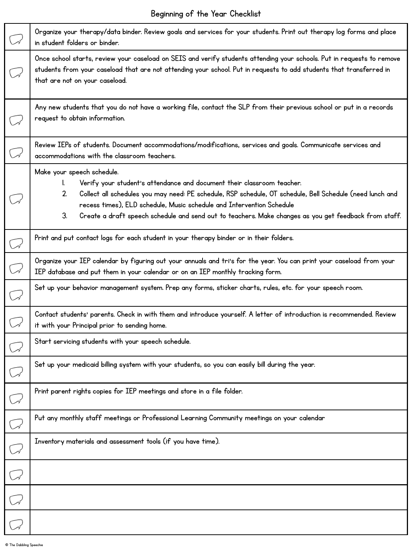## Beginning of the Year Checklist

| (v           | Organize your therapy/data binder. Review goals and services for your students. Print out therapy log forms and place<br>in student folders or binder.                                                                                                                                                                                                                                                                |
|--------------|-----------------------------------------------------------------------------------------------------------------------------------------------------------------------------------------------------------------------------------------------------------------------------------------------------------------------------------------------------------------------------------------------------------------------|
| $\mathbb{C}$ | Once school starts, review your caseload on SEIS and verify students attending your schools. Put in requests to remove<br>students from your caseload that are not attending your school. Put in requests to add students that transferred in<br>that are not on your caseload.                                                                                                                                       |
|              | Any new students that you do not have a working file, contact the SLP from their previous school or put in a records<br>request to obtain information.                                                                                                                                                                                                                                                                |
| $\mathbb{C}$ | Review IEPs of students. Document accommodations/modifications, services and goals. Communicate services and<br>accommodations with the classroom teachers.                                                                                                                                                                                                                                                           |
|              | Make your speech schedule.<br>Verify your student's attendance and document their classroom teacher.<br>I.<br>Collect all schedules you may need: PE schedule, RSP schedule, OT schedule, Bell Schedule (need lunch and<br>2.<br>recess times), ELD schedule, Music schedule and Intervention Schedule<br>3.<br>Create a draft speech schedule and send out to teachers. Make changes as you get feedback from staff. |
| $\mathbb{C}$ | Print and put contact logs for each student in your therapy binder or in their folders.                                                                                                                                                                                                                                                                                                                               |
| $\mathbb{C}$ | Organize your IEP calendar by figuring out your annuals and tri's for the year. You can print your caseload from your<br>IEP database and put them in your calendar or on an IEP monthly tracking form.                                                                                                                                                                                                               |
| $\mathbb{C}$ | Set up your behavior management system. Prep any forms, sticker charts, rules, etc. for your speech room.                                                                                                                                                                                                                                                                                                             |
| $\mathbb{C}$ | Contact students' parents. Check in with them and introduce yourself. A letter of introduction is recommended. Review<br>it with your Principal prior to sending home.                                                                                                                                                                                                                                                |
| $\bigcirc$   | Start servicing students with your speech schedule.                                                                                                                                                                                                                                                                                                                                                                   |
|              | Set up your medicaid billing system with your students, so you can easily bill during the year.                                                                                                                                                                                                                                                                                                                       |
| $\bigcup$    | Print parent rights copies for IEP meetings and store in a file folder.                                                                                                                                                                                                                                                                                                                                               |
| $\mathbb{C}$ | Put any monthly staff meetings or Professional Learning Community meetings on your calendar                                                                                                                                                                                                                                                                                                                           |
| $\mathbb{C}$ | Inventory materials and assessment tools (if you have time).                                                                                                                                                                                                                                                                                                                                                          |
| $\mathbb{C}$ |                                                                                                                                                                                                                                                                                                                                                                                                                       |
| $\sqrt{ }$   |                                                                                                                                                                                                                                                                                                                                                                                                                       |
|              |                                                                                                                                                                                                                                                                                                                                                                                                                       |

I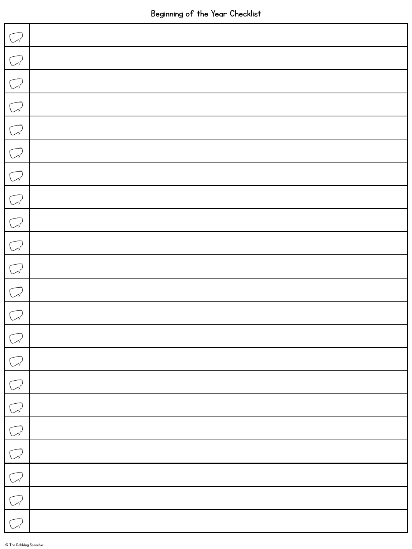| $\sqrt{ }$   |  |
|--------------|--|
| $\bigcirc$   |  |
| $\bigcirc$   |  |
| $\bigcirc$   |  |
| $\bigcirc$   |  |
| $\bigcirc$   |  |
| $\bigcirc$   |  |
| $\bigcirc$   |  |
| $\bigcirc$   |  |
| $\bigcirc$   |  |
| $\mathbb{C}$ |  |
| $\mathbb{C}$ |  |
| $\sqrt{ }$   |  |
| $\mathbb{C}$ |  |
| $\mathbb{C}$ |  |
| $\bigcup$    |  |
| $\sqrt{ }$   |  |
| $\sqrt{ }$   |  |
| $\mathbb{C}$ |  |
| $\mathbb{C}$ |  |
| $\mathbb{C}$ |  |
| $\mathbb{C}$ |  |

L